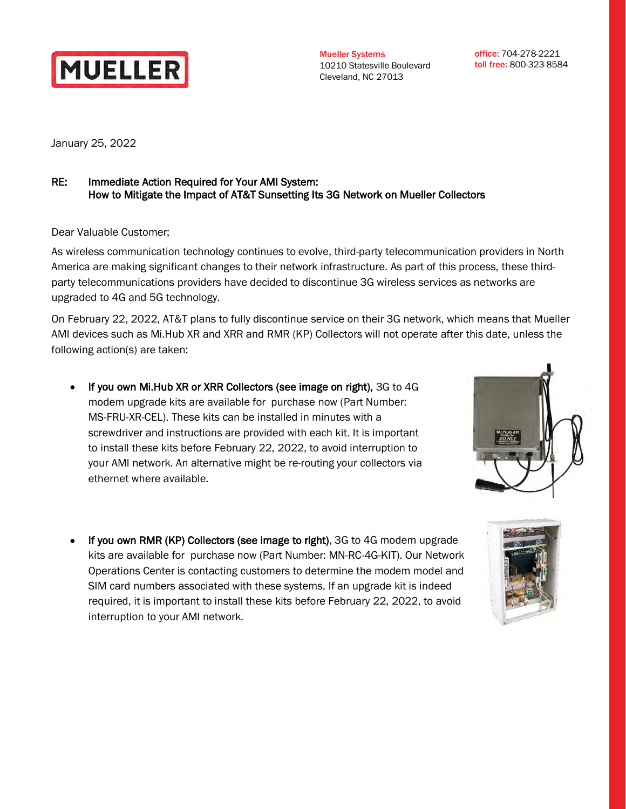

Mueller Systems 10210 Statesville Boulevard Cleveland, NC 27013

office: 704-278-2221 toll free: 800-323-8584

January 25, 2022

## RE: Immediate Action Required for Your AMI System: How to Mitigate the Impact of AT&T Sunsetting Its 3G Network on Mueller Collectors

Dear Valuable Customer;

As wireless communication technology continues to evolve, third-party telecommunication providers in North America are making significant changes to their network infrastructure. As part of this process, these thirdparty telecommunications providers have decided to discontinue 3G wireless services as networks are upgraded to 4G and 5G technology.

On February 22, 2022, AT&T plans to fully discontinue service on their 3G network, which means that Mueller AMI devices such as Mi.Hub XR and XRR and RMR (KP) Collectors will not operate after this date, unless the following action(s) are taken:

• If you own Mi.Hub XR or XRR Collectors (see image on right), 3G to 4G modem upgrade kits are available for purchase now (Part Number: MS-FRU-XR-CEL). These kits can be installed in minutes with a screwdriver and instructions are provided with each kit. It is important to install these kits before February 22, 2022, to avoid interruption to your AMI network. An alternative might be re-routing your collectors via ethernet where available.



If you own RMR (KP) Collectors (see image to right), 3G to 4G modem upgrade kits are available for purchase now (Part Number: MN-RC-4G-KIT). Our Network Operations Center is contacting customers to determine the modem model and SIM card numbers associated with these systems. If an upgrade kit is indeed required, it is important to install these kits before February 22, 2022, to avoid interruption to your AMI network.